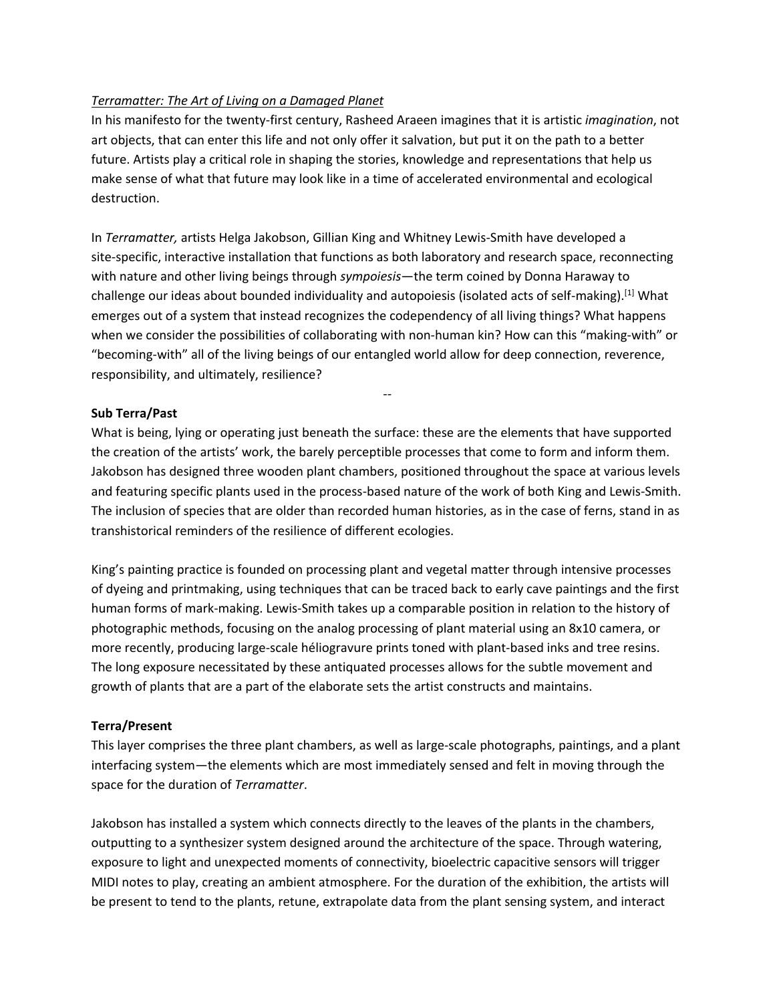## *Terramatter: The Art of Living on a Damaged Planet*

In his manifesto for the twenty-first century, Rasheed Araeen imagines that it is artistic *imagination*, not art objects, that can enter this life and not only offer it salvation, but put it on the path to a better future. Artists play a critical role in shaping the stories, knowledge and representations that help us make sense of what that future may look like in a time of accelerated environmental and ecological destruction.

In *Terramatter,* artists Helga Jakobson, Gillian King and Whitney Lewis-Smith have developed a site-specific, interactive installation that functions as both laboratory and research space, reconnecting with nature and other living beings through *sympoiesis*—the term coined by Donna Haraway to challenge our ideas about bounded individuality and autopoiesis (isolated acts of self-making).[1] What emerges out of a system that instead recognizes the codependency of all living things? What happens when we consider the possibilities of collaborating with non-human kin? How can this "making-with" or "becoming-with" all of the living beings of our entangled world allow for deep connection, reverence, responsibility, and ultimately, resilience?

## **Sub Terra/Past**

What is being, lying or operating just beneath the surface: these are the elements that have supported the creation of the artists' work, the barely perceptible processes that come to form and inform them. Jakobson has designed three wooden plant chambers, positioned throughout the space at various levels and featuring specific plants used in the process-based nature of the work of both King and Lewis-Smith. The inclusion of species that are older than recorded human histories, as in the case of ferns, stand in as transhistorical reminders of the resilience of different ecologies.

--

King's painting practice is founded on processing plant and vegetal matter through intensive processes of dyeing and printmaking, using techniques that can be traced back to early cave paintings and the first human forms of mark-making. Lewis-Smith takes up a comparable position in relation to the history of photographic methods, focusing on the analog processing of plant material using an 8x10 camera, or more recently, producing large-scale héliogravure prints toned with plant-based inks and tree resins. The long exposure necessitated by these antiquated processes allows for the subtle movement and growth of plants that are a part of the elaborate sets the artist constructs and maintains.

## **Terra/Present**

This layer comprises the three plant chambers, as well as large-scale photographs, paintings, and a plant interfacing system—the elements which are most immediately sensed and felt in moving through the space for the duration of *Terramatter*.

Jakobson has installed a system which connects directly to the leaves of the plants in the chambers, outputting to a synthesizer system designed around the architecture of the space. Through watering, exposure to light and unexpected moments of connectivity, bioelectric capacitive sensors will trigger MIDI notes to play, creating an ambient atmosphere. For the duration of the exhibition, the artists will be present to tend to the plants, retune, extrapolate data from the plant sensing system, and interact